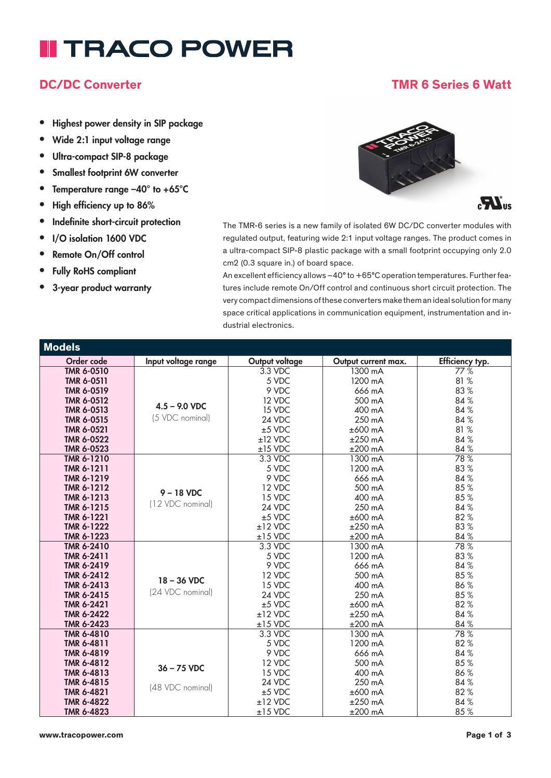# **II TRACO POWER**

### • Highest power density in SIP package

- Wide 2:1 input voltage range
- Ultra-compact SIP-8 package
- Smallest footprint 6W converter
- Temperature range –40° to +65°C
- High efficiency up to 86%
- Indefinite short-circuit protection
- I/O isolation 1600 VDC
- Remote On/Off control
- Fully RoHS compliant
- 3-year product warranty



The TMR-6 series is a new family of isolated 6W DC/DC converter modules with regulated output, featuring wide 2:1 input voltage ranges. The product comes in a ultra-compact SIP-8 plastic package with a small footprint occupying only 2.0 cm2 (0.3 square in.) of board space.

An excellent efficiency allows –40° to +65°C operation temperatures. Further features include remote On/Off control and continuous short circuit protection. The very compact dimensions of these converters make them an ideal solution for many space critical applications in communication equipment, instrumentation and industrial electronics.

| <b>Models</b>     |                     |                |                     |                 |
|-------------------|---------------------|----------------|---------------------|-----------------|
| Order code        | Input voltage range | Output voltage | Output current max. | Efficiency typ. |
| <b>TMR 6-0510</b> |                     | $3.3$ VDC      | 1300 mA             | 77%             |
| <b>TMR 6-0511</b> |                     | 5 VDC          | 1200 mA             | 81 %            |
| <b>TMR 6-0519</b> |                     | 9 VDC          | 666 mA              | 83%             |
| <b>TMR 6-0512</b> |                     | 12 VDC         | 500 mA              | 84%             |
| <b>TMR 6-0513</b> | $4.5 - 9.0$ VDC     | 15 VDC         | 400 mA              | 84 %            |
| <b>TMR 6-0515</b> | (5 VDC nominal)     | 24 VDC         | 250 mA              | 84%             |
| <b>TMR 6-0521</b> |                     | $±5$ VDC       | $±600$ mA           | 81 %            |
| <b>TMR 6-0522</b> |                     | $±12$ VDC      | $±250$ mA           | 84 %            |
| <b>TMR 6-0523</b> |                     | $±15$ VDC      | $\pm 200$ mA        | 84%             |
| TMR 6-1210        |                     | 3.3 VDC        | 1300 mA             | 78%             |
| TMR 6-1211        |                     | 5 VDC          | 1200 mA             | 83%             |
| TMR 6-1219        |                     | 9 VDC          | 666 mA              | 84 %            |
| TMR 6-1212        | $9 - 18$ VDC        | 12 VDC         | 500 mA              | 85%             |
| TMR 6-1213        | (12 VDC nominal)    | 15 VDC         | 400 mA              | 85%             |
| <b>TMR 6-1215</b> |                     | 24 VDC         | 250 mA              | 84%             |
| TMR 6-1221        |                     | $±5$ VDC       | $±600$ mA           | 82%             |
| TMR 6-1222        |                     | $±12$ VDC      | $±250$ mA           | 83%             |
| TMR 6-1223        |                     | $±15$ VDC      | $±200$ mA           | 84%             |
| TMR 6-2410        |                     | 3.3 VDC        | 1300 mA             | 78%             |
| TMR 6-2411        |                     | 5 VDC          | 1200 mA             | 83%             |
| TMR 6-2419        |                     | 9 VDC          | 666 mA              | 84%             |
| TMR 6-2412        | 18 - 36 VDC         | 12 VDC         | 500 mA              | 85%             |
| <b>TMR 6-2413</b> | (24 VDC nominal)    | 15 VDC         | 400 mA              | 86%             |
| <b>TMR 6-2415</b> |                     | 24 VDC         | 250 mA              | 85%             |
| <b>TMR 6-2421</b> |                     | $±5$ VDC       | $±600$ mA           | 82%             |
| <b>TMR 6-2422</b> |                     | $±12$ VDC      | $±250$ mA           | 84%             |
| TMR 6-2423        |                     | $±15$ VDC      | $±200$ mA           | 84 %            |
| TMR 6-4810        |                     | 3.3 VDC        | 1300 mA             | 78%             |
| TMR 6-4811        |                     | 5 VDC          | 1200 mA             | 82%             |
| TMR 6-4819        |                     | 9 VDC          | 666 mA              | 84 %            |
| TMR 6-4812        | $36 - 75$ VDC       | 12 VDC         | 500 mA              | 85%             |
| <b>TMR 6-4813</b> |                     | 15 VDC         | 400 mA              | 86%             |
| <b>TMR 6-4815</b> | (48 VDC nominal)    | 24 VDC         | 250 mA              | 84%             |
| <b>TMR 6-4821</b> |                     | $±5$ VDC       | $±600$ mA           | 82%             |
| <b>TMR 6-4822</b> |                     | $±12$ VDC      | $±250$ mA           | 84%             |
| <b>TMR 6-4823</b> |                     | $±15$ VDC      | $±200$ mA           | 85%             |

### DC/DC Converter TMR 6 Series 6 Watt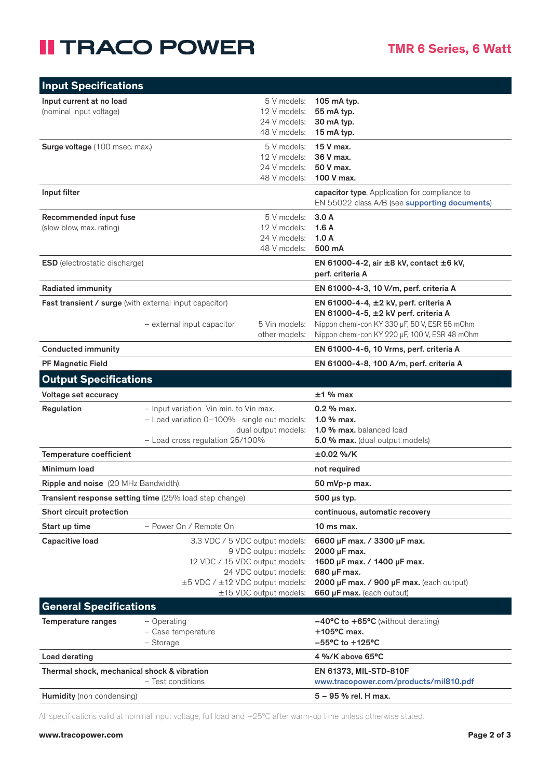### **II TRACO POWER**

| <b>Input Specifications</b>                                                                                                                                                                                        |                                                                                                                                                |                                                                                                                                                                    |                                                                                                                                                                                  |
|--------------------------------------------------------------------------------------------------------------------------------------------------------------------------------------------------------------------|------------------------------------------------------------------------------------------------------------------------------------------------|--------------------------------------------------------------------------------------------------------------------------------------------------------------------|----------------------------------------------------------------------------------------------------------------------------------------------------------------------------------|
| Input current at no load<br>(nominal input voltage)                                                                                                                                                                |                                                                                                                                                | 5 V models:<br>12 V models:<br>24 V models:<br>48 V models:                                                                                                        | 105 mA typ.<br>55 mA typ.<br>30 mA typ.<br>15 mA typ.                                                                                                                            |
| Surge voltage (100 msec. max.)                                                                                                                                                                                     |                                                                                                                                                | 5 V models:<br>12 V models:<br>24 V models:<br>48 V models:                                                                                                        | 15 V max.<br>36 V max.<br>50 V max.<br>100 V max.                                                                                                                                |
| Input filter                                                                                                                                                                                                       |                                                                                                                                                |                                                                                                                                                                    | capacitor type. Application for compliance to<br>EN 55022 class A/B (see supporting documents)                                                                                   |
| Recommended input fuse<br>(slow blow, max. rating)                                                                                                                                                                 |                                                                                                                                                | 5 V models:<br>12 V models:<br>24 V models:<br>48 V models:                                                                                                        | 3.0A<br>1.6A<br>1.0A<br>500 mA                                                                                                                                                   |
| <b>ESD</b> (electrostatic discharge)                                                                                                                                                                               |                                                                                                                                                |                                                                                                                                                                    | EN 61000-4-2, air ±8 kV, contact ±6 kV,<br>perf. criteria A                                                                                                                      |
| <b>Radiated immunity</b>                                                                                                                                                                                           |                                                                                                                                                |                                                                                                                                                                    | EN 61000-4-3, 10 V/m, perf. criteria A                                                                                                                                           |
| Fast transient / surge (with external input capacitor)                                                                                                                                                             | - external input capacitor                                                                                                                     | 5 Vin models:<br>other models:                                                                                                                                     | EN 61000-4-4, ±2 kV, perf. criteria A<br>EN 61000-4-5, ±2 kV perf. criteria A<br>Nippon chemi-con KY 330 µF, 50 V, ESR 55 mOhm<br>Nippon chemi-con KY 220 µF, 100 V, ESR 48 mOhm |
| <b>Conducted immunity</b>                                                                                                                                                                                          |                                                                                                                                                |                                                                                                                                                                    | EN 61000-4-6, 10 Vrms, perf. criteria A                                                                                                                                          |
| <b>PF Magnetic Field</b>                                                                                                                                                                                           |                                                                                                                                                |                                                                                                                                                                    | EN 61000-4-8, 100 A/m, perf. criteria A                                                                                                                                          |
| <b>Output Specifications</b>                                                                                                                                                                                       |                                                                                                                                                |                                                                                                                                                                    |                                                                                                                                                                                  |
| Voltage set accuracy                                                                                                                                                                                               |                                                                                                                                                |                                                                                                                                                                    | $±1%$ max                                                                                                                                                                        |
| Regulation                                                                                                                                                                                                         | - Input variation Vin min. to Vin max.<br>- Load variation 0-100% single out models:<br>dual output models:<br>- Load cross regulation 25/100% |                                                                                                                                                                    | $0.2$ % max.<br>$1.0%$ max.<br>1.0 % max. balanced load<br>5.0 % max. (dual output models)                                                                                       |
| <b>Temperature coefficient</b>                                                                                                                                                                                     |                                                                                                                                                |                                                                                                                                                                    | $±0.02$ %/K                                                                                                                                                                      |
| Minimum load                                                                                                                                                                                                       |                                                                                                                                                |                                                                                                                                                                    | not required                                                                                                                                                                     |
| Ripple and noise (20 MHz Bandwidth)                                                                                                                                                                                |                                                                                                                                                |                                                                                                                                                                    | 50 mVp-p max.                                                                                                                                                                    |
|                                                                                                                                                                                                                    | Transient response setting time (25% load step change)                                                                                         |                                                                                                                                                                    | 500 µs typ.                                                                                                                                                                      |
| Short circuit protection                                                                                                                                                                                           |                                                                                                                                                |                                                                                                                                                                    | continuous, automatic recovery                                                                                                                                                   |
| Start up time                                                                                                                                                                                                      | - Power On / Remote On                                                                                                                         |                                                                                                                                                                    | $10$ ms max.                                                                                                                                                                     |
| 3.3 VDC / 5 VDC output models:<br><b>Capacitive load</b><br>9 VDC output models:<br>12 VDC / 15 VDC output models:<br>24 VDC output models:<br>$\pm 5$ VDC / $\pm 12$ VDC output models:<br>±15 VDC output models: |                                                                                                                                                | 6600 µF max. / 3300 µF max.<br>2000 µF max.<br>1600 µF max. / 1400 µF max.<br>680 µF max.<br>2000 µF max. / 900 µF max. (each output)<br>660 µF max. (each output) |                                                                                                                                                                                  |
| <b>General Specifications</b>                                                                                                                                                                                      |                                                                                                                                                |                                                                                                                                                                    |                                                                                                                                                                                  |
| Temperature ranges                                                                                                                                                                                                 | - Operating<br>- Case temperature<br>- Storage                                                                                                 |                                                                                                                                                                    | $-40^{\circ}$ C to $+65^{\circ}$ C (without derating)<br>+105°C max.<br>$-55^{\circ}$ C to $+125^{\circ}$ C                                                                      |
| Load derating                                                                                                                                                                                                      |                                                                                                                                                |                                                                                                                                                                    | 4 %/K above 65°C                                                                                                                                                                 |
| Thermal shock, mechanical shock & vibration                                                                                                                                                                        | - Test conditions                                                                                                                              |                                                                                                                                                                    | EN 61373, MIL-STD-810F<br>www.tracopower.com/products/mil810.pdf                                                                                                                 |
| Humidity (non condensing)                                                                                                                                                                                          |                                                                                                                                                | 5 - 95 % rel. H max.                                                                                                                                               |                                                                                                                                                                                  |

All specifications valid at nominal input voltage, full load and +25°C after warm-up time unless otherwise stated.